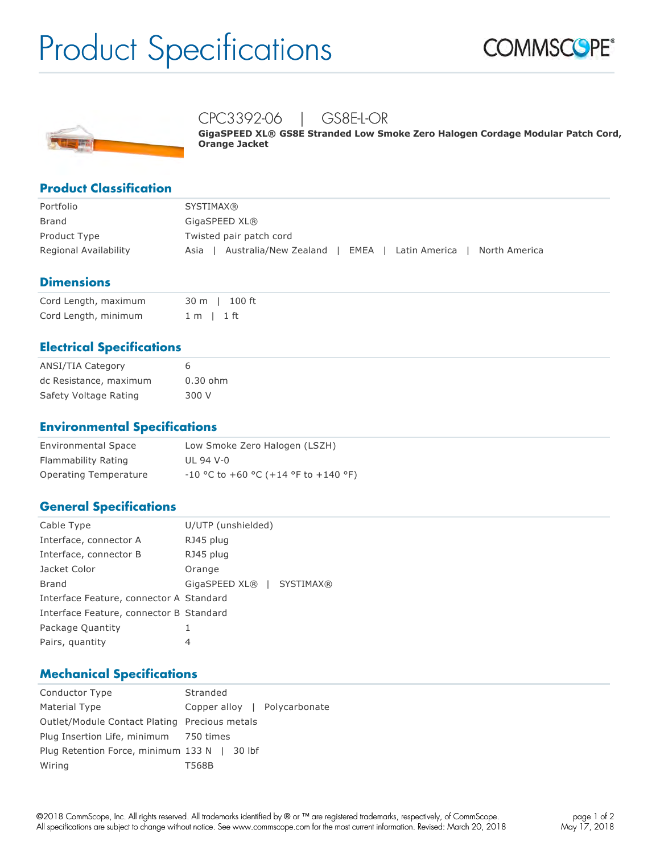# Product Specifications





## CPC3392-06 | GS8E-L-OR

**GigaSPEED XL® GS8E Stranded Low Smoke Zero Halogen Cordage Modular Patch Cord, Orange Jacket**

#### **Product Classification**

| Portfolio             | <b>SYSTIMAX®</b>                                                          |
|-----------------------|---------------------------------------------------------------------------|
| Brand                 | GigaSPEED XL®                                                             |
| Product Type          | Twisted pair patch cord                                                   |
| Regional Availability | Australia/New Zealand<br>North America<br>EMEA I<br>Latin America<br>Asia |

#### **Dimensions**

| Cord Length, maximum | 30 m l 100 ft  |
|----------------------|----------------|
| Cord Length, minimum | $1 m$   $1 ft$ |

#### **Electrical Specifications**

| ANSI/TIA Category      | 6          |
|------------------------|------------|
| dc Resistance, maximum | $0.30$ ohm |
| Safety Voltage Rating  | 300 V      |

#### **Environmental Specifications**

| <b>Environmental Space</b> | Low Smoke Zero Halogen (LSZH)          |
|----------------------------|----------------------------------------|
| Flammability Rating        | UL 94 V-0                              |
| Operating Temperature      | $-10$ °C to +60 °C (+14 °F to +140 °F) |

#### **General Specifications**

| Cable Type                              | U/UTP (unshielded)        |
|-----------------------------------------|---------------------------|
| Interface, connector A                  | RJ45 plug                 |
| Interface, connector B                  | RJ45 plug                 |
| Jacket Color                            | Orange                    |
| Brand                                   | GigaSPEED XL®   SYSTIMAX® |
| Interface Feature, connector A Standard |                           |
| Interface Feature, connector B Standard |                           |
| Package Quantity                        | 1                         |
| Pairs, quantity                         | 4                         |
|                                         |                           |

#### **Mechanical Specifications**

| Conductor Type                                | Stranded                     |  |
|-----------------------------------------------|------------------------------|--|
| Material Type                                 | Copper alloy   Polycarbonate |  |
| Outlet/Module Contact Plating Precious metals |                              |  |
| Plug Insertion Life, minimum 750 times        |                              |  |
| Plug Retention Force, minimum 133 N   30 lbf  |                              |  |
| Wiring                                        | T568B                        |  |